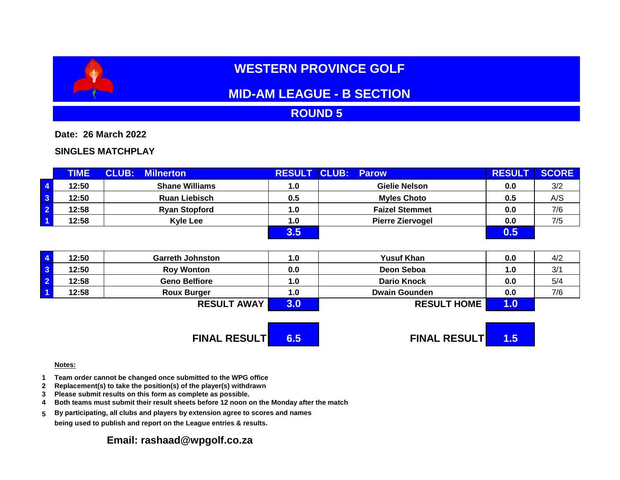# **WESTERN PROVINCE GOLF**

## **MID-AM LEAGUE - B SECTION**

#### **ROUND 5**

**Date: 26 March 2022**

#### **SINGLES MATCHPLAY**

|                         | <b>TIME</b> | <b>CLUB:</b><br><b>Milnerton</b> | <b>RESULT</b> | <b>CLUB: Parow</b>      | <b>RESULT</b> | <b>SCORE</b> |
|-------------------------|-------------|----------------------------------|---------------|-------------------------|---------------|--------------|
| $\overline{4}$          | 12:50       | <b>Shane Williams</b>            | 1.0           | Gielie Nelson           | 0.0           | 3/2          |
| $\overline{\mathbf{3}}$ | 12:50       | <b>Ruan Liebisch</b>             | 0.5           | <b>Myles Choto</b>      | 0.5           | A/S          |
| $\overline{2}$          | 12:58       | <b>Ryan Stopford</b>             | 1.0           | <b>Faizel Stemmet</b>   | 0.0           | 7/6          |
| $\overline{1}$          | 12:58       | <b>Kyle Lee</b>                  | 1.0           | <b>Pierre Ziervogel</b> | 0.0           | 7/5          |
|                         |             |                                  |               |                         | 0.5           |              |

| $\overline{4}$          | 12:50 | <b>Garreth Johnston</b> | $\mathbf{0}$ . | <b>Yusuf Khan</b>    | 0.0 | 4/2 |
|-------------------------|-------|-------------------------|----------------|----------------------|-----|-----|
| $\overline{\mathbf{3}}$ | 12:50 | <b>Roy Wonton</b>       | 0.0            | Deon Seboa           | 1.0 | 3/1 |
| $\overline{2}$          | 12:58 | <b>Geno Belfiore</b>    | 1.O            | <b>Dario Knock</b>   | 0.0 | 5/4 |
| $\overline{1}$          | 12:58 | <b>Roux Burger</b>      | 1.0            | <b>Dwain Gounden</b> | 0.0 | 7/6 |
|                         |       | <b>RESULT AWAY</b>      |                | <b>RESULT HOME</b>   |     |     |

**FINAL RESULT 6.5 FINAL RESULT 1.5**

#### **Notes:**

- **1 Team order cannot be changed once submitted to the WPG office**
- **2 Replacement(s) to take the position(s) of the player(s) withdrawn**
- **3 Please submit results on this form as complete as possible.**
- **4 Both teams must submit their result sheets before 12 noon on the Monday after the match**
- **5 By participating, all clubs and players by extension agree to scores and names being used to publish and report on the League entries & results.**

#### **Email: rashaad@wpgolf.co.za**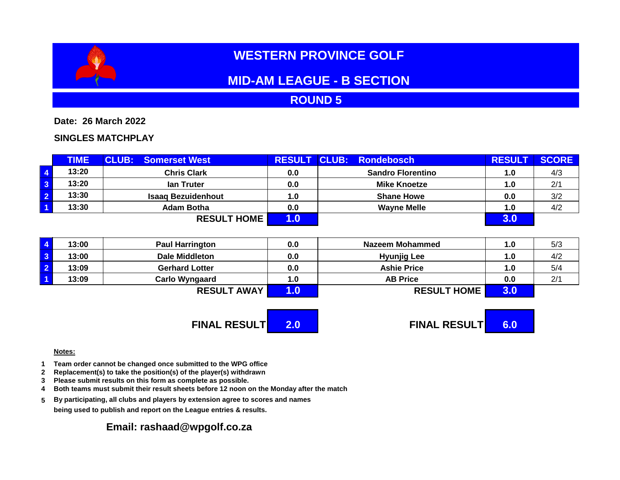

# **WESTERN PROVINCE GOLF**

## **MID-AM LEAGUE - B SECTION**

**ROUND 5**

**Date: 26 March 2022**

**SINGLES MATCHPLAY**

| <b>TIME</b> | <b>CLUB: Somerset West</b> |     | RESULT CLUB: Rondebosch  | <b>RESULT</b> | <b>SCORE</b> |
|-------------|----------------------------|-----|--------------------------|---------------|--------------|
| 13:20       | <b>Chris Clark</b>         | 0.0 | <b>Sandro Florentino</b> | 1.0           | 4/3          |
| 13:20       | lan Truter                 | 0.0 | <b>Mike Knoetze</b>      | 1.0           | 2/1          |
| 13:30       | <b>Isaag Bezuidenhout</b>  | 1.0 | <b>Shane Howe</b>        | 0.0           | 3/2          |
| 13:30       | <b>Adam Botha</b>          | 0.0 | <b>Wayne Melle</b>       | 1.0           | 4/2          |
|             | <b>RESULT HOME</b>         |     |                          |               |              |

|                         | 13:00 | <b>Paul Harrington</b> | 0.0 | Nazeem Mohammed    | 1.0 | 5/3 |
|-------------------------|-------|------------------------|-----|--------------------|-----|-----|
| $\overline{\mathbf{3}}$ | 13:00 | Dale Middleton         | 0.0 | <b>Hyunjig Lee</b> | 1.0 | 4/2 |
| $\overline{\mathbf{2}}$ | 13:09 | <b>Gerhard Lotter</b>  | 0.0 | <b>Ashie Price</b> | 1.0 | 5/4 |
|                         | 13:09 | <b>Carlo Wyngaard</b>  | 1.0 | <b>AB Price</b>    | 0.0 | 2/1 |
|                         |       | <b>RESULT AWAY</b>     |     | <b>RESULT HOME</b> |     |     |



#### **Notes:**

- **1 Team order cannot be changed once submitted to the WPG office**
- **2 Replacement(s) to take the position(s) of the player(s) withdrawn**
- **3 Please submit results on this form as complete as possible.**
- **4 Both teams must submit their result sheets before 12 noon on the Monday after the match**
- **5 By participating, all clubs and players by extension agree to scores and names being used to publish and report on the League entries & results.**

### **Email: rashaad@wpgolf.co.za**